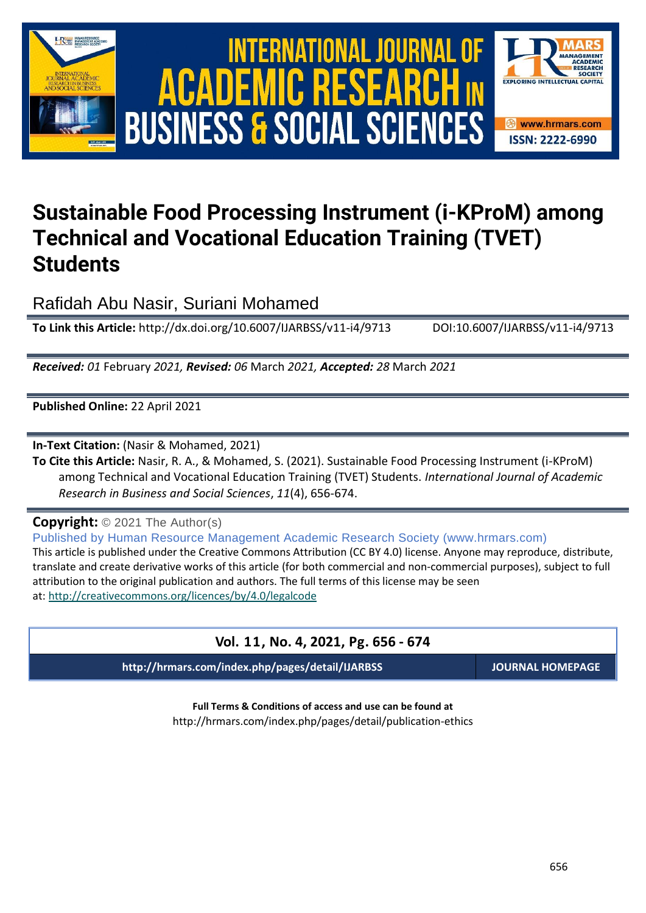

# International Journal of Academic Research in Business and Social Sciences **Vol. 1 1 , No. 4, 2021, E-ISSN: 2222-6990 © 2021 HRMARS** ACADEMIC R **BUSINESS & SOCIAL SCIENCES**



# **Sustainable Food Processing Instrument (i-KProM) among Technical and Vocational Education Training (TVET) Students**

Rafidah Abu Nasir, Suriani Mohamed

**To Link this Article:** http://dx.doi.org/10.6007/IJARBSS/v11-i4/9713 DOI:10.6007/IJARBSS/v11-i4/9713

*Received: 01* February *2021, Revised: 06* March *2021, Accepted: 28* March *2021*

**Published Online:** 22 April 2021

**In-Text Citation:** (Nasir & Mohamed, 2021)

**To Cite this Article:** Nasir, R. A., & Mohamed, S. (2021). Sustainable Food Processing Instrument (i-KProM) among Technical and Vocational Education Training (TVET) Students. *International Journal of Academic Research in Business and Social Sciences*, *11*(4), 656-674.

**Copyright:** © 2021 The Author(s)

Published by Human Resource Management Academic Research Society (www.hrmars.com) This article is published under the Creative Commons Attribution (CC BY 4.0) license. Anyone may reproduce, distribute, translate and create derivative works of this article (for both commercial and non-commercial purposes), subject to full attribution to the original publication and authors. The full terms of this license may be seen at: <http://creativecommons.org/licences/by/4.0/legalcode>

# **Vol. 11, No. 4, 2021, Pg. 656 - 674**

**http://hrmars.com/index.php/pages/detail/IJARBSS JOURNAL HOMEPAGE**

**Full Terms & Conditions of access and use can be found at** http://hrmars.com/index.php/pages/detail/publication-ethics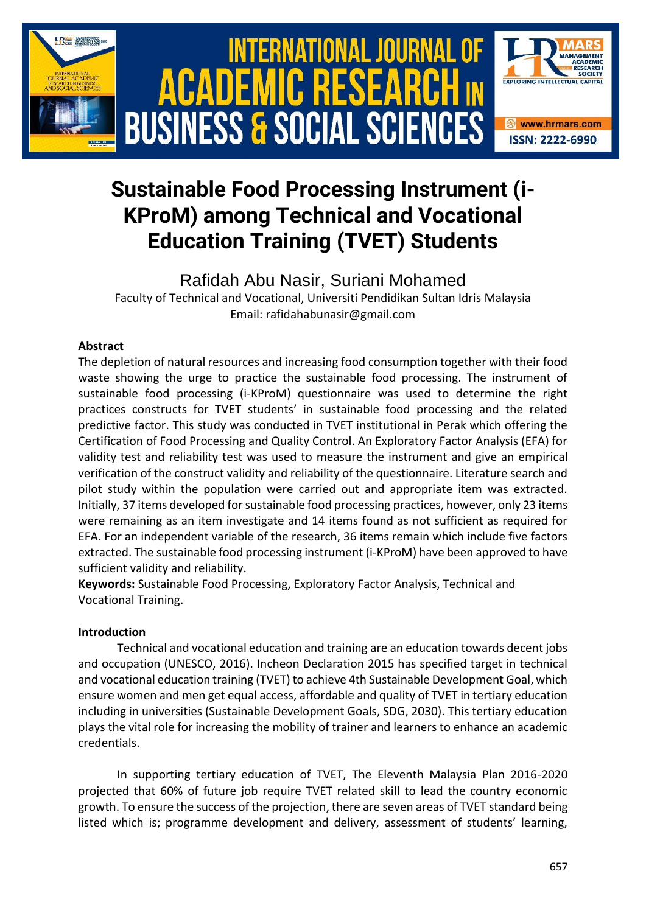

# **Sustainable Food Processing Instrument (i-KProM) among Technical and Vocational Education Training (TVET) Students**

# Rafidah Abu Nasir, Suriani Mohamed

Faculty of Technical and Vocational, Universiti Pendidikan Sultan Idris Malaysia Email: rafidahabunasir@gmail.com

#### **Abstract**

The depletion of natural resources and increasing food consumption together with their food waste showing the urge to practice the sustainable food processing. The instrument of sustainable food processing (i-KProM) questionnaire was used to determine the right practices constructs for TVET students' in sustainable food processing and the related predictive factor. This study was conducted in TVET institutional in Perak which offering the Certification of Food Processing and Quality Control. An Exploratory Factor Analysis (EFA) for validity test and reliability test was used to measure the instrument and give an empirical verification of the construct validity and reliability of the questionnaire. Literature search and pilot study within the population were carried out and appropriate item was extracted. Initially, 37 items developed for sustainable food processing practices, however, only 23 items were remaining as an item investigate and 14 items found as not sufficient as required for EFA. For an independent variable of the research, 36 items remain which include five factors extracted. The sustainable food processing instrument (i-KProM) have been approved to have sufficient validity and reliability.

**Keywords:** Sustainable Food Processing, Exploratory Factor Analysis, Technical and Vocational Training.

#### **Introduction**

Technical and vocational education and training are an education towards decent jobs and occupation (UNESCO, 2016). Incheon Declaration 2015 has specified target in technical and vocational education training (TVET) to achieve 4th Sustainable Development Goal, which ensure women and men get equal access, affordable and quality of TVET in tertiary education including in universities (Sustainable Development Goals, SDG, 2030). This tertiary education plays the vital role for increasing the mobility of trainer and learners to enhance an academic credentials.

In supporting tertiary education of TVET, The Eleventh Malaysia Plan 2016-2020 projected that 60% of future job require TVET related skill to lead the country economic growth. To ensure the success of the projection, there are seven areas of TVET standard being listed which is; programme development and delivery, assessment of students' learning,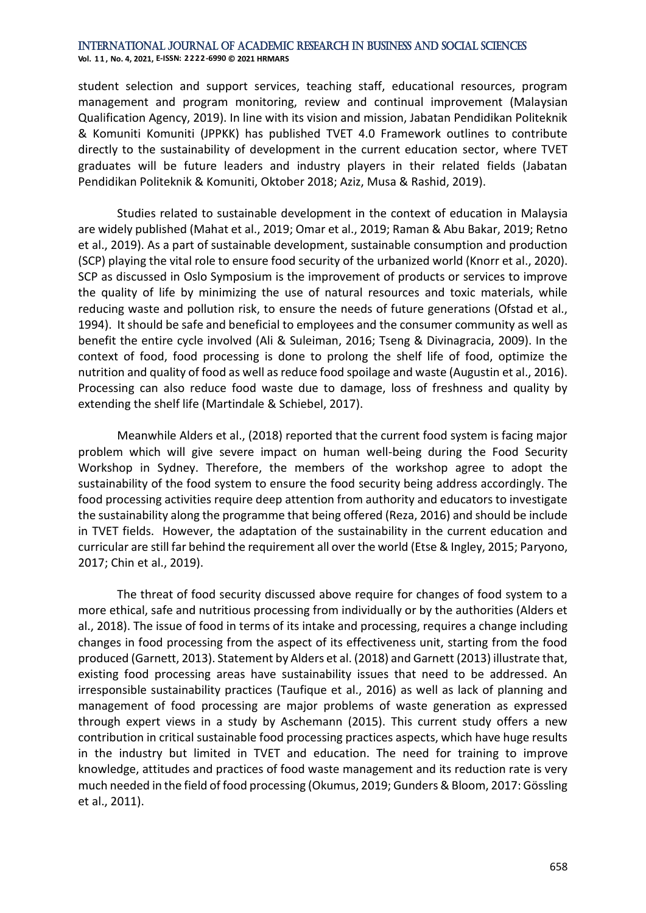**Vol. 1 1 , No. 4, 2021, E-ISSN: 2222-6990 © 2021 HRMARS**

student selection and support services, teaching staff, educational resources, program management and program monitoring, review and continual improvement (Malaysian Qualification Agency, 2019). In line with its vision and mission, Jabatan Pendidikan Politeknik & Komuniti Komuniti (JPPKK) has published TVET 4.0 Framework outlines to contribute directly to the sustainability of development in the current education sector, where TVET graduates will be future leaders and industry players in their related fields (Jabatan Pendidikan Politeknik & Komuniti, Oktober 2018; Aziz, Musa & Rashid, 2019).

Studies related to sustainable development in the context of education in Malaysia are widely published (Mahat et al., 2019; Omar et al., 2019; Raman & Abu Bakar, 2019; Retno et al., 2019). As a part of sustainable development, sustainable consumption and production (SCP) playing the vital role to ensure food security of the urbanized world (Knorr et al., 2020). SCP as discussed in Oslo Symposium is the improvement of products or services to improve the quality of life by minimizing the use of natural resources and toxic materials, while reducing waste and pollution risk, to ensure the needs of future generations (Ofstad et al., 1994). It should be safe and beneficial to employees and the consumer community as well as benefit the entire cycle involved (Ali & Suleiman, 2016; Tseng & Divinagracia, 2009). In the context of food, food processing is done to prolong the shelf life of food, optimize the nutrition and quality of food as well as reduce food spoilage and waste (Augustin et al., 2016). Processing can also reduce food waste due to damage, loss of freshness and quality by extending the shelf life (Martindale & Schiebel, 2017).

Meanwhile Alders et al., (2018) reported that the current food system is facing major problem which will give severe impact on human well-being during the Food Security Workshop in Sydney. Therefore, the members of the workshop agree to adopt the sustainability of the food system to ensure the food security being address accordingly. The food processing activities require deep attention from authority and educators to investigate the sustainability along the programme that being offered (Reza, 2016) and should be include in TVET fields. However, the adaptation of the sustainability in the current education and curricular are still far behind the requirement all over the world (Etse & Ingley, 2015; Paryono, 2017; Chin et al., 2019).

The threat of food security discussed above require for changes of food system to a more ethical, safe and nutritious processing from individually or by the authorities (Alders et al., 2018). The issue of food in terms of its intake and processing, requires a change including changes in food processing from the aspect of its effectiveness unit, starting from the food produced (Garnett, 2013). Statement by Alders et al. (2018) and Garnett (2013) illustrate that, existing food processing areas have sustainability issues that need to be addressed. An irresponsible sustainability practices (Taufique et al., 2016) as well as lack of planning and management of food processing are major problems of waste generation as expressed through expert views in a study by Aschemann (2015). This current study offers a new contribution in critical sustainable food processing practices aspects, which have huge results in the industry but limited in TVET and education. The need for training to improve knowledge, attitudes and practices of food waste management and its reduction rate is very much needed in the field of food processing (Okumus, 2019; Gunders & Bloom, 2017: Gössling et al., 2011).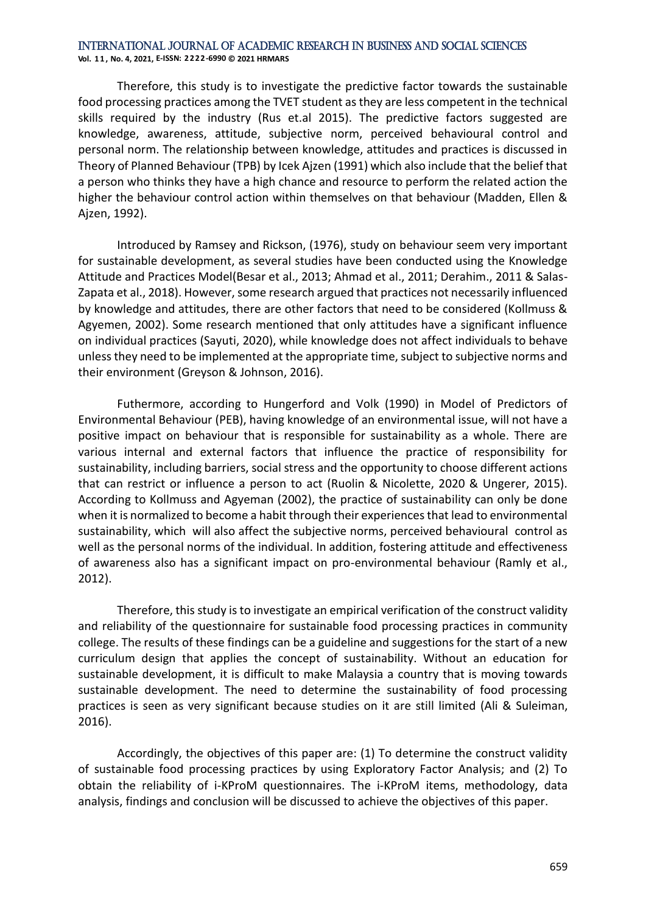**Vol. 1 1 , No. 4, 2021, E-ISSN: 2222-6990 © 2021 HRMARS**

Therefore, this study is to investigate the predictive factor towards the sustainable food processing practices among the TVET student as they are less competent in the technical skills required by the industry (Rus et.al 2015). The predictive factors suggested are knowledge, awareness, attitude, subjective norm, perceived behavioural control and personal norm. The relationship between knowledge, attitudes and practices is discussed in Theory of Planned Behaviour (TPB) by Icek Ajzen (1991) which also include that the belief that a person who thinks they have a high chance and resource to perform the related action the higher the behaviour control action within themselves on that behaviour (Madden, Ellen & Ajzen, 1992).

Introduced by Ramsey and Rickson, (1976), study on behaviour seem very important for sustainable development, as several studies have been conducted using the Knowledge Attitude and Practices Model(Besar et al., 2013; Ahmad et al., 2011; Derahim., 2011 & Salas-Zapata et al., 2018). However, some research argued that practices not necessarily influenced by knowledge and attitudes, there are other factors that need to be considered (Kollmuss & Agyemen, 2002). Some research mentioned that only attitudes have a significant influence on individual practices (Sayuti, 2020), while knowledge does not affect individuals to behave unless they need to be implemented at the appropriate time, subject to subjective norms and their environment (Greyson & Johnson, 2016).

Futhermore, according to Hungerford and Volk (1990) in Model of Predictors of Environmental Behaviour (PEB), having knowledge of an environmental issue, will not have a positive impact on behaviour that is responsible for sustainability as a whole. There are various internal and external factors that influence the practice of responsibility for sustainability, including barriers, social stress and the opportunity to choose different actions that can restrict or influence a person to act (Ruolin & Nicolette, 2020 & Ungerer, 2015). According to Kollmuss and Agyeman (2002), the practice of sustainability can only be done when it is normalized to become a habit through their experiences that lead to environmental sustainability, which will also affect the subjective norms, perceived behavioural control as well as the personal norms of the individual. In addition, fostering attitude and effectiveness of awareness also has a significant impact on pro-environmental behaviour (Ramly et al., 2012).

Therefore, this study is to investigate an empirical verification of the construct validity and reliability of the questionnaire for sustainable food processing practices in community college. The results of these findings can be a guideline and suggestions for the start of a new curriculum design that applies the concept of sustainability. Without an education for sustainable development, it is difficult to make Malaysia a country that is moving towards sustainable development. The need to determine the sustainability of food processing practices is seen as very significant because studies on it are still limited (Ali & Suleiman, 2016).

Accordingly, the objectives of this paper are: (1) To determine the construct validity of sustainable food processing practices by using Exploratory Factor Analysis; and (2) To obtain the reliability of i-KProM questionnaires. The i-KProM items, methodology, data analysis, findings and conclusion will be discussed to achieve the objectives of this paper.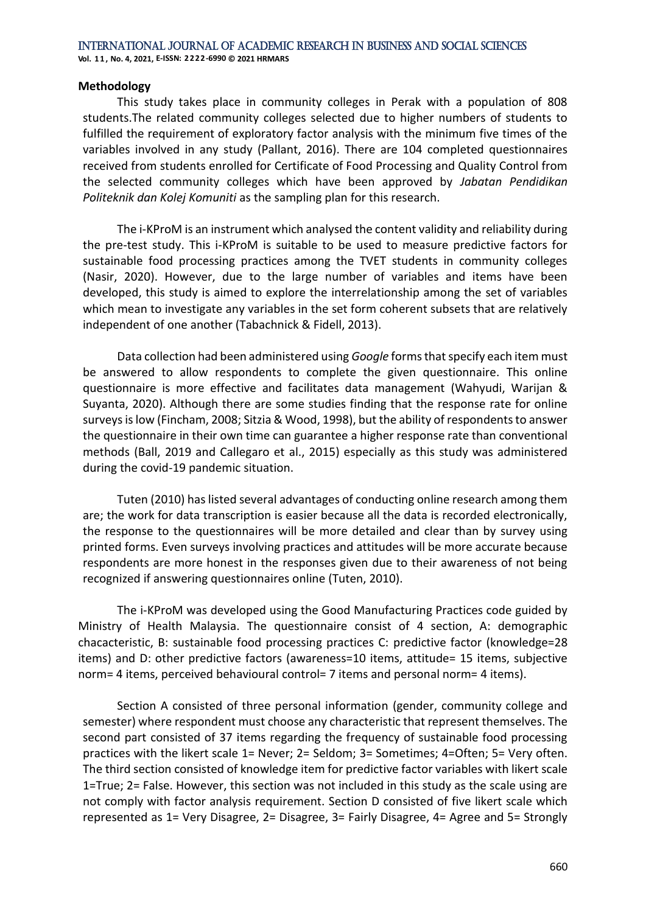#### **Methodology**

This study takes place in community colleges in Perak with a population of 808 students.The related community colleges selected due to higher numbers of students to fulfilled the requirement of exploratory factor analysis with the minimum five times of the variables involved in any study (Pallant, 2016). There are 104 completed questionnaires received from students enrolled for Certificate of Food Processing and Quality Control from the selected community colleges which have been approved by *Jabatan Pendidikan Politeknik dan Kolej Komuniti* as the sampling plan for this research.

The i-KProM is an instrument which analysed the content validity and reliability during the pre-test study. This i-KProM is suitable to be used to measure predictive factors for sustainable food processing practices among the TVET students in community colleges (Nasir, 2020). However, due to the large number of variables and items have been developed, this study is aimed to explore the interrelationship among the set of variables which mean to investigate any variables in the set form coherent subsets that are relatively independent of one another (Tabachnick & Fidell, 2013).

Data collection had been administered using *Google* forms that specify each item must be answered to allow respondents to complete the given questionnaire. This online questionnaire is more effective and facilitates data management (Wahyudi, Warijan & Suyanta, 2020). Although there are some studies finding that the response rate for online surveys is low (Fincham, 2008; Sitzia & Wood, 1998), but the ability of respondents to answer the questionnaire in their own time can guarantee a higher response rate than conventional methods (Ball, 2019 and Callegaro et al., 2015) especially as this study was administered during the covid-19 pandemic situation.

Tuten (2010) has listed several advantages of conducting online research among them are; the work for data transcription is easier because all the data is recorded electronically, the response to the questionnaires will be more detailed and clear than by survey using printed forms. Even surveys involving practices and attitudes will be more accurate because respondents are more honest in the responses given due to their awareness of not being recognized if answering questionnaires online (Tuten, 2010).

The i-KProM was developed using the Good Manufacturing Practices code guided by Ministry of Health Malaysia. The questionnaire consist of 4 section, A: demographic chacacteristic, B: sustainable food processing practices C: predictive factor (knowledge=28 items) and D: other predictive factors (awareness=10 items, attitude= 15 items, subjective norm= 4 items, perceived behavioural control= 7 items and personal norm= 4 items).

Section A consisted of three personal information (gender, community college and semester) where respondent must choose any characteristic that represent themselves. The second part consisted of 37 items regarding the frequency of sustainable food processing practices with the likert scale 1= Never; 2= Seldom; 3= Sometimes; 4=Often; 5= Very often. The third section consisted of knowledge item for predictive factor variables with likert scale 1=True; 2= False. However, this section was not included in this study as the scale using are not comply with factor analysis requirement. Section D consisted of five likert scale which represented as 1= Very Disagree, 2= Disagree, 3= Fairly Disagree, 4= Agree and 5= Strongly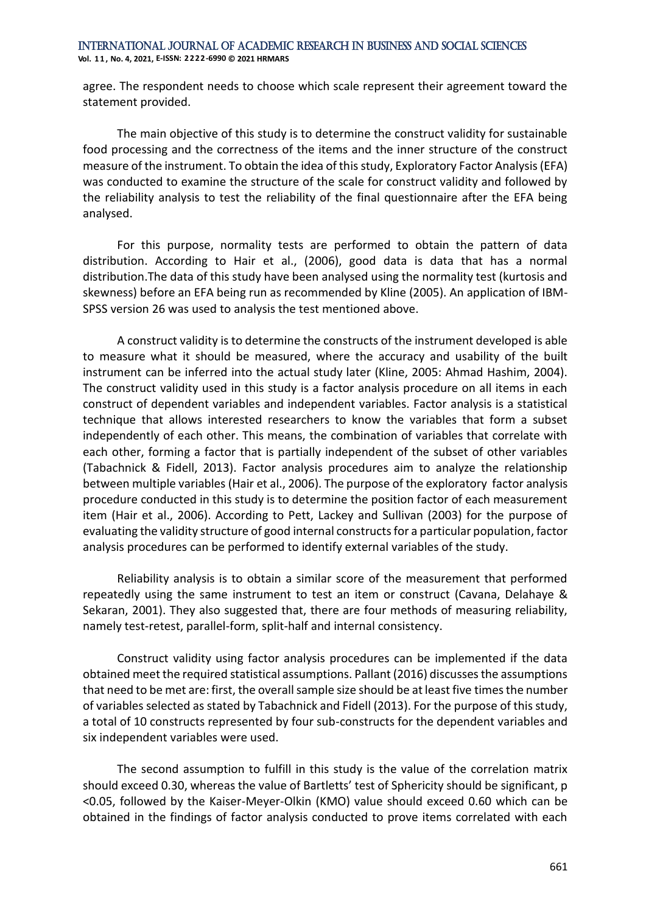**Vol. 1 1 , No. 4, 2021, E-ISSN: 2222-6990 © 2021 HRMARS**

agree. The respondent needs to choose which scale represent their agreement toward the statement provided.

The main objective of this study is to determine the construct validity for sustainable food processing and the correctness of the items and the inner structure of the construct measure of the instrument. To obtain the idea of this study, Exploratory Factor Analysis (EFA) was conducted to examine the structure of the scale for construct validity and followed by the reliability analysis to test the reliability of the final questionnaire after the EFA being analysed.

For this purpose, normality tests are performed to obtain the pattern of data distribution. According to Hair et al., (2006), good data is data that has a normal distribution.The data of this study have been analysed using the normality test (kurtosis and skewness) before an EFA being run as recommended by Kline (2005). An application of IBM-SPSS version 26 was used to analysis the test mentioned above.

A construct validity is to determine the constructs of the instrument developed is able to measure what it should be measured, where the accuracy and usability of the built instrument can be inferred into the actual study later (Kline, 2005: Ahmad Hashim, 2004). The construct validity used in this study is a factor analysis procedure on all items in each construct of dependent variables and independent variables. Factor analysis is a statistical technique that allows interested researchers to know the variables that form a subset independently of each other. This means, the combination of variables that correlate with each other, forming a factor that is partially independent of the subset of other variables (Tabachnick & Fidell, 2013). Factor analysis procedures aim to analyze the relationship between multiple variables (Hair et al., 2006). The purpose of the exploratory factor analysis procedure conducted in this study is to determine the position factor of each measurement item (Hair et al., 2006). According to Pett, Lackey and Sullivan (2003) for the purpose of evaluating the validity structure of good internal constructs for a particular population, factor analysis procedures can be performed to identify external variables of the study.

Reliability analysis is to obtain a similar score of the measurement that performed repeatedly using the same instrument to test an item or construct (Cavana, Delahaye & Sekaran, 2001). They also suggested that, there are four methods of measuring reliability, namely test-retest, parallel-form, split-half and internal consistency.

Construct validity using factor analysis procedures can be implemented if the data obtained meet the required statistical assumptions. Pallant (2016) discusses the assumptions that need to be met are: first, the overall sample size should be at least five times the number of variables selected as stated by Tabachnick and Fidell (2013). For the purpose of this study, a total of 10 constructs represented by four sub-constructs for the dependent variables and six independent variables were used.

The second assumption to fulfill in this study is the value of the correlation matrix should exceed 0.30, whereas the value of Bartletts' test of Sphericity should be significant, p <0.05, followed by the Kaiser-Meyer-Olkin (KMO) value should exceed 0.60 which can be obtained in the findings of factor analysis conducted to prove items correlated with each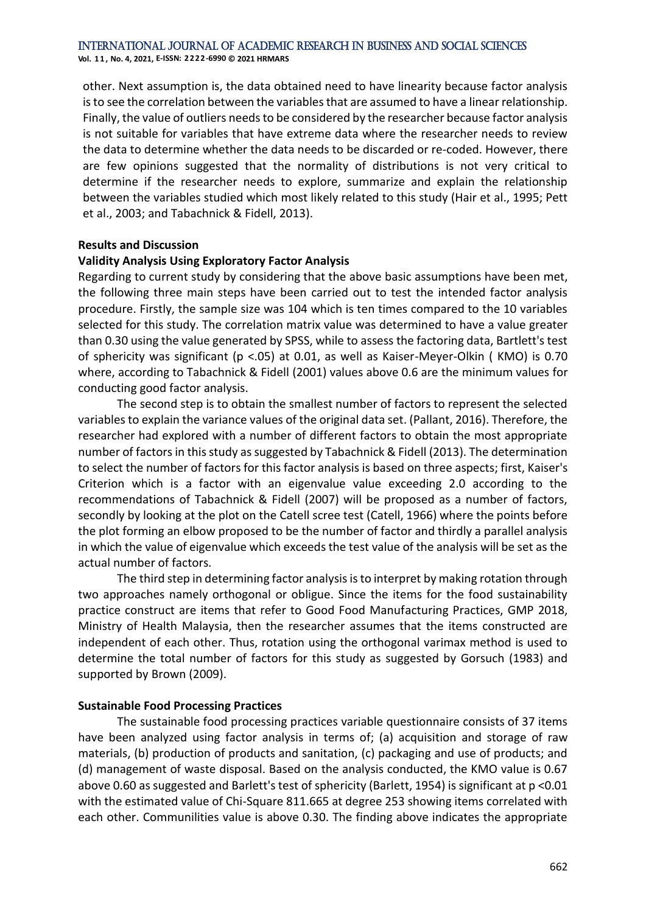**Vol. 1 1 , No. 4, 2021, E-ISSN: 2222-6990 © 2021 HRMARS**

other. Next assumption is, the data obtained need to have linearity because factor analysis is to see the correlation between the variables that are assumed to have a linear relationship. Finally, the value of outliers needs to be considered by the researcher because factor analysis is not suitable for variables that have extreme data where the researcher needs to review the data to determine whether the data needs to be discarded or re-coded. However, there are few opinions suggested that the normality of distributions is not very critical to determine if the researcher needs to explore, summarize and explain the relationship between the variables studied which most likely related to this study (Hair et al., 1995; Pett et al., 2003; and Tabachnick & Fidell, 2013).

#### **Results and Discussion**

#### **Validity Analysis Using Exploratory Factor Analysis**

Regarding to current study by considering that the above basic assumptions have been met, the following three main steps have been carried out to test the intended factor analysis procedure. Firstly, the sample size was 104 which is ten times compared to the 10 variables selected for this study. The correlation matrix value was determined to have a value greater than 0.30 using the value generated by SPSS, while to assess the factoring data, Bartlett's test of sphericity was significant (p <.05) at 0.01, as well as Kaiser-Meyer-Olkin ( KMO) is 0.70 where, according to Tabachnick & Fidell (2001) values above 0.6 are the minimum values for conducting good factor analysis.

The second step is to obtain the smallest number of factors to represent the selected variables to explain the variance values of the original data set. (Pallant, 2016). Therefore, the researcher had explored with a number of different factors to obtain the most appropriate number of factors in this study as suggested by Tabachnick & Fidell (2013). The determination to select the number of factors for this factor analysis is based on three aspects; first, Kaiser's Criterion which is a factor with an eigenvalue value exceeding 2.0 according to the recommendations of Tabachnick & Fidell (2007) will be proposed as a number of factors, secondly by looking at the plot on the Catell scree test (Catell, 1966) where the points before the plot forming an elbow proposed to be the number of factor and thirdly a parallel analysis in which the value of eigenvalue which exceeds the test value of the analysis will be set as the actual number of factors.

The third step in determining factor analysis is to interpret by making rotation through two approaches namely orthogonal or obligue. Since the items for the food sustainability practice construct are items that refer to Good Food Manufacturing Practices, GMP 2018, Ministry of Health Malaysia, then the researcher assumes that the items constructed are independent of each other. Thus, rotation using the orthogonal varimax method is used to determine the total number of factors for this study as suggested by Gorsuch (1983) and supported by Brown (2009).

#### **Sustainable Food Processing Practices**

The sustainable food processing practices variable questionnaire consists of 37 items have been analyzed using factor analysis in terms of; (a) acquisition and storage of raw materials, (b) production of products and sanitation, (c) packaging and use of products; and (d) management of waste disposal. Based on the analysis conducted, the KMO value is 0.67 above 0.60 as suggested and Barlett's test of sphericity (Barlett, 1954) is significant at p <0.01 with the estimated value of Chi-Square 811.665 at degree 253 showing items correlated with each other. Communilities value is above 0.30. The finding above indicates the appropriate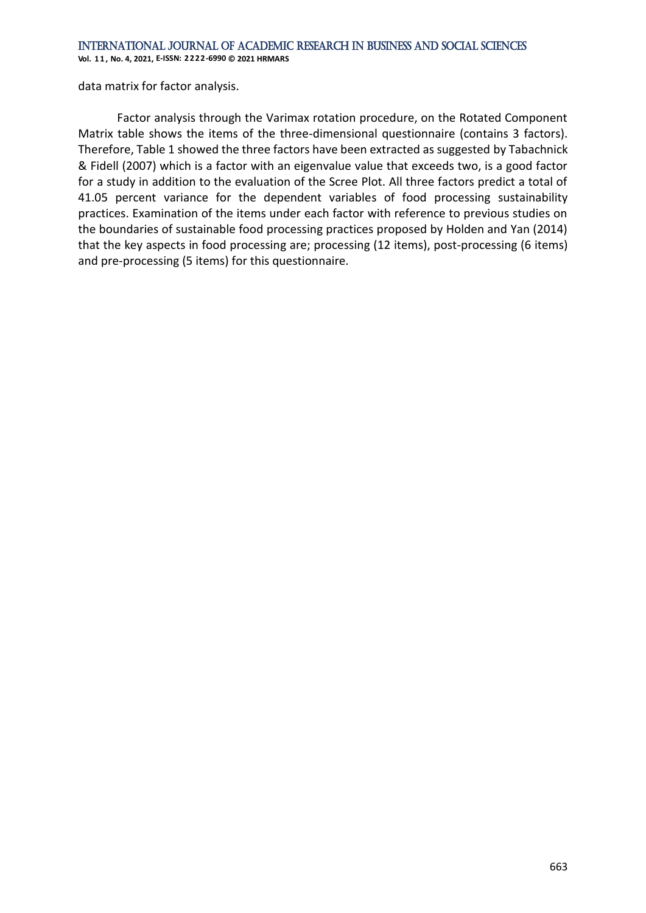**Vol. 1 1 , No. 4, 2021, E-ISSN: 2222-6990 © 2021 HRMARS**

data matrix for factor analysis.

Factor analysis through the Varimax rotation procedure, on the Rotated Component Matrix table shows the items of the three-dimensional questionnaire (contains 3 factors). Therefore, Table 1 showed the three factors have been extracted as suggested by Tabachnick & Fidell (2007) which is a factor with an eigenvalue value that exceeds two, is a good factor for a study in addition to the evaluation of the Scree Plot. All three factors predict a total of 41.05 percent variance for the dependent variables of food processing sustainability practices. Examination of the items under each factor with reference to previous studies on the boundaries of sustainable food processing practices proposed by Holden and Yan (2014) that the key aspects in food processing are; processing (12 items), post-processing (6 items) and pre-processing (5 items) for this questionnaire.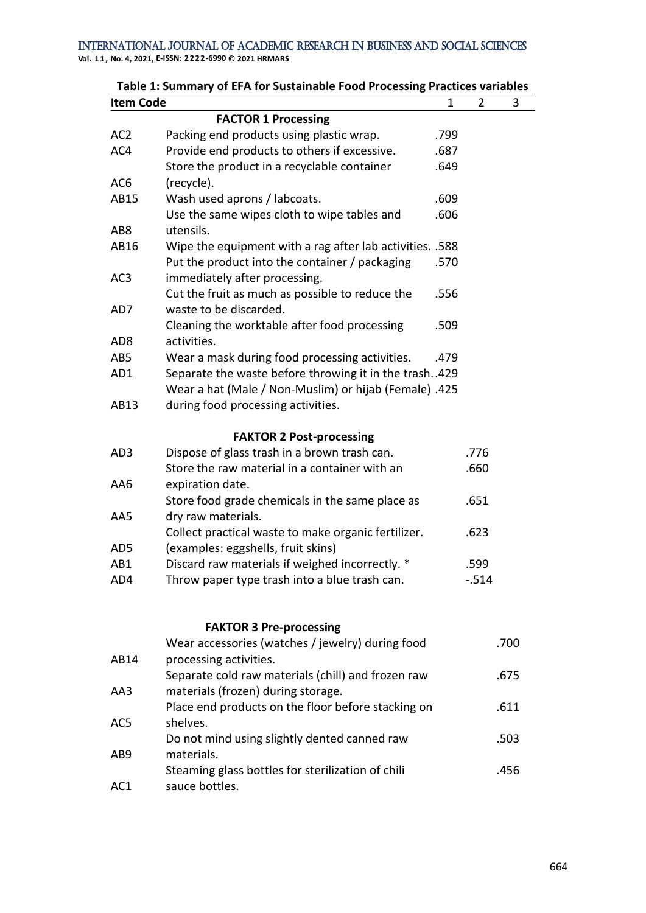**Table 1: Summary of EFA for Sustainable Food Processing Practices variables Item Code** 1 2

|                 | <b>FACTOR 1 Processing</b>                               |      |          |      |
|-----------------|----------------------------------------------------------|------|----------|------|
| AC <sub>2</sub> | Packing end products using plastic wrap.                 | .799 |          |      |
| AC4             | Provide end products to others if excessive.             | .687 |          |      |
|                 | Store the product in a recyclable container              | .649 |          |      |
| AC <sub>6</sub> | (recycle).                                               |      |          |      |
| AB15            | Wash used aprons / labcoats.                             | .609 |          |      |
|                 | Use the same wipes cloth to wipe tables and              | .606 |          |      |
| AB <sub>8</sub> | utensils.                                                |      |          |      |
| AB16            | Wipe the equipment with a rag after lab activities. .588 |      |          |      |
|                 | Put the product into the container / packaging           | .570 |          |      |
| AC <sub>3</sub> | immediately after processing.                            |      |          |      |
|                 | Cut the fruit as much as possible to reduce the          | .556 |          |      |
| AD7             | waste to be discarded.                                   |      |          |      |
|                 | Cleaning the worktable after food processing             | .509 |          |      |
| AD <sub>8</sub> | activities.                                              |      |          |      |
| AB5             | Wear a mask during food processing activities.           | .479 |          |      |
| AD1             | Separate the waste before throwing it in the trash429    |      |          |      |
|                 | Wear a hat (Male / Non-Muslim) or hijab (Female) .425    |      |          |      |
| AB13            | during food processing activities.                       |      |          |      |
|                 | <b>FAKTOR 2 Post-processing</b>                          |      |          |      |
| AD3             | Dispose of glass trash in a brown trash can.             |      | .776     |      |
|                 | Store the raw material in a container with an            |      | .660     |      |
| AA6             | expiration date.                                         |      |          |      |
|                 | Store food grade chemicals in the same place as          |      | .651     |      |
| AA5             | dry raw materials.                                       |      |          |      |
|                 | Collect practical waste to make organic fertilizer.      |      | .623     |      |
| AD5             | (examples: eggshells, fruit skins)                       |      |          |      |
| AB1             | Discard raw materials if weighed incorrectly. *          |      | .599     |      |
| AD4             | Throw paper type trash into a blue trash can.            |      | $-0.514$ |      |
|                 |                                                          |      |          |      |
|                 | <b>FAKTOR 3 Pre-processing</b>                           |      |          |      |
|                 | Wear accessories (watches / jewelry) during food         |      |          | .700 |
| AB14            | processing activities.                                   |      |          |      |
|                 | Separate cold raw materials (chill) and frozen raw       |      |          | .675 |
| AA3             | materials (frozen) during storage.                       |      |          |      |

|     | Place end products on the floor before stacking on | .611 |
|-----|----------------------------------------------------|------|
| AC5 | shelves.                                           |      |
|     | Do not mind using slightly dented canned raw       | .503 |
| AB9 | materials.                                         |      |
|     | Steaming glass bottles for sterilization of chili  | .456 |
| AC1 | sauce bottles.                                     |      |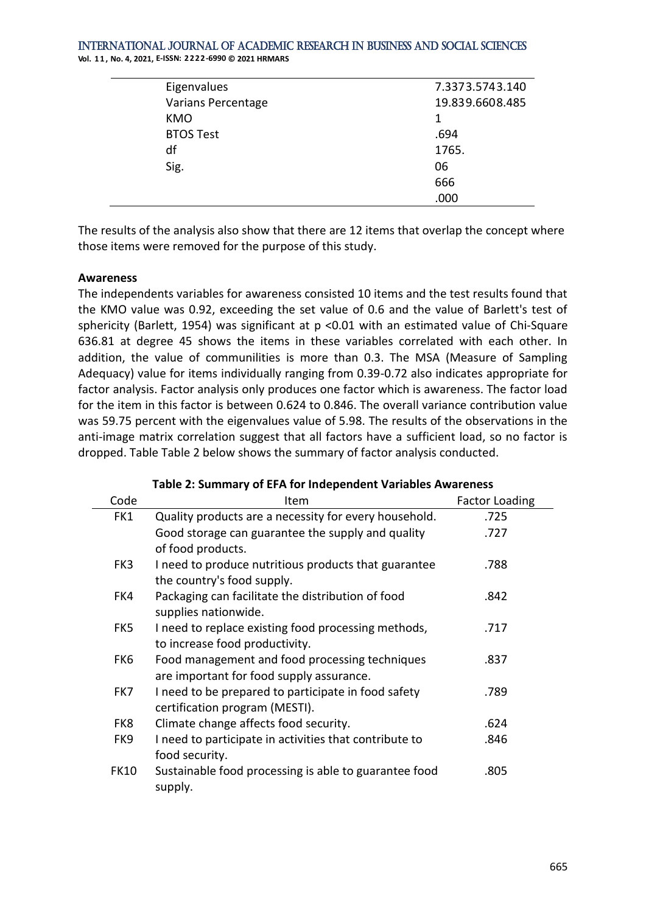| Eigenvalues        | 7.3373.5743.140 |
|--------------------|-----------------|
| Varians Percentage | 19.839.6608.485 |
| <b>KMO</b>         | 1               |
| <b>BTOS Test</b>   | .694            |
| df                 | 1765.           |
| Sig.               | 06              |
|                    | 666             |
|                    | .000            |

The results of the analysis also show that there are 12 items that overlap the concept where those items were removed for the purpose of this study.

#### **Awareness**

The independents variables for awareness consisted 10 items and the test results found that the KMO value was 0.92, exceeding the set value of 0.6 and the value of Barlett's test of sphericity (Barlett, 1954) was significant at p <0.01 with an estimated value of Chi-Square 636.81 at degree 45 shows the items in these variables correlated with each other. In addition, the value of communilities is more than 0.3. The MSA (Measure of Sampling Adequacy) value for items individually ranging from 0.39-0.72 also indicates appropriate for factor analysis. Factor analysis only produces one factor which is awareness. The factor load for the item in this factor is between 0.624 to 0.846. The overall variance contribution value was 59.75 percent with the eigenvalues value of 5.98. The results of the observations in the anti-image matrix correlation suggest that all factors have a sufficient load, so no factor is dropped. Table Table 2 below shows the summary of factor analysis conducted.

| Code        | Item                                                   | <b>Factor Loading</b> |
|-------------|--------------------------------------------------------|-----------------------|
| FK1         | Quality products are a necessity for every household.  | .725                  |
|             | Good storage can guarantee the supply and quality      | .727                  |
|             | of food products.                                      |                       |
| FK3         | I need to produce nutritious products that guarantee   | .788                  |
|             | the country's food supply.                             |                       |
| FK4         | Packaging can facilitate the distribution of food      | .842                  |
|             | supplies nationwide.                                   |                       |
| FK5         | I need to replace existing food processing methods,    | .717                  |
|             | to increase food productivity.                         |                       |
| FK6         | Food management and food processing techniques         | .837                  |
|             | are important for food supply assurance.               |                       |
| FK7         | I need to be prepared to participate in food safety    | .789                  |
|             | certification program (MESTI).                         |                       |
| FK8         | Climate change affects food security.                  | .624                  |
| FK9         | I need to participate in activities that contribute to | .846                  |
|             | food security.                                         |                       |
| <b>FK10</b> | Sustainable food processing is able to guarantee food  | .805                  |
|             | supply.                                                |                       |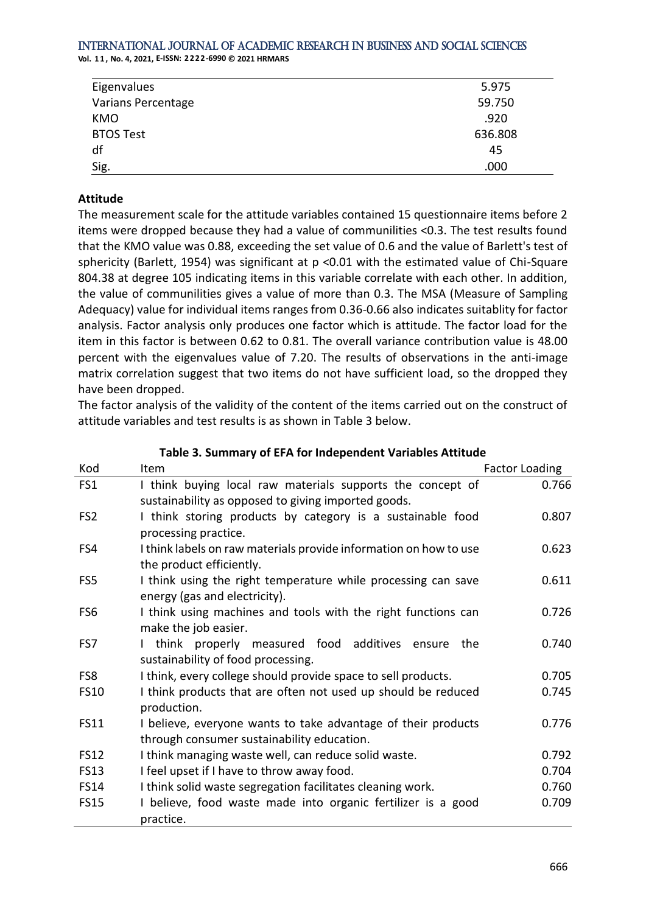**Vol. 1 1 , No. 4, 2021, E-ISSN: 2222-6990 © 2021 HRMARS**

| Eigenvalues               | 5.975   |
|---------------------------|---------|
| <b>Varians Percentage</b> | 59.750  |
| <b>KMO</b>                | .920    |
| <b>BTOS Test</b>          | 636.808 |
| df                        | 45      |
| Sig.                      | .000    |

#### **Attitude**

The measurement scale for the attitude variables contained 15 questionnaire items before 2 items were dropped because they had a value of communilities <0.3. The test results found that the KMO value was 0.88, exceeding the set value of 0.6 and the value of Barlett's test of sphericity (Barlett, 1954) was significant at p <0.01 with the estimated value of Chi-Square 804.38 at degree 105 indicating items in this variable correlate with each other. In addition, the value of communilities gives a value of more than 0.3. The MSA (Measure of Sampling Adequacy) value for individual items ranges from 0.36-0.66 also indicates suitablity for factor analysis. Factor analysis only produces one factor which is attitude. The factor load for the item in this factor is between 0.62 to 0.81. The overall variance contribution value is 48.00 percent with the eigenvalues value of 7.20. The results of observations in the anti-image matrix correlation suggest that two items do not have sufficient load, so the dropped they have been dropped.

The factor analysis of the validity of the content of the items carried out on the construct of attitude variables and test results is as shown in Table 3 below.

| Kod             | Item                                                              | Factor Loading |
|-----------------|-------------------------------------------------------------------|----------------|
| FS1             | I think buying local raw materials supports the concept of        | 0.766          |
|                 | sustainability as opposed to giving imported goods.               |                |
| FS <sub>2</sub> | I think storing products by category is a sustainable food        | 0.807          |
|                 | processing practice.                                              |                |
| FS4             | I think labels on raw materials provide information on how to use | 0.623          |
|                 | the product efficiently.                                          |                |
| FS5             | I think using the right temperature while processing can save     | 0.611          |
|                 | energy (gas and electricity).                                     |                |
| FS <sub>6</sub> | I think using machines and tools with the right functions can     | 0.726          |
|                 | make the job easier.                                              |                |
| FS7             | think properly measured food additives ensure<br>the              | 0.740          |
|                 | sustainability of food processing.                                |                |
| FS8             | I think, every college should provide space to sell products.     | 0.705          |
| <b>FS10</b>     | I think products that are often not used up should be reduced     | 0.745          |
|                 | production.                                                       |                |
| <b>FS11</b>     | I believe, everyone wants to take advantage of their products     | 0.776          |
|                 | through consumer sustainability education.                        |                |
| <b>FS12</b>     | I think managing waste well, can reduce solid waste.              | 0.792          |
| <b>FS13</b>     | I feel upset if I have to throw away food.                        | 0.704          |
| <b>FS14</b>     | I think solid waste segregation facilitates cleaning work.        | 0.760          |
| <b>FS15</b>     | I believe, food waste made into organic fertilizer is a good      | 0.709          |
|                 | practice.                                                         |                |

**Table 3. Summary of EFA for Independent Variables Attitude**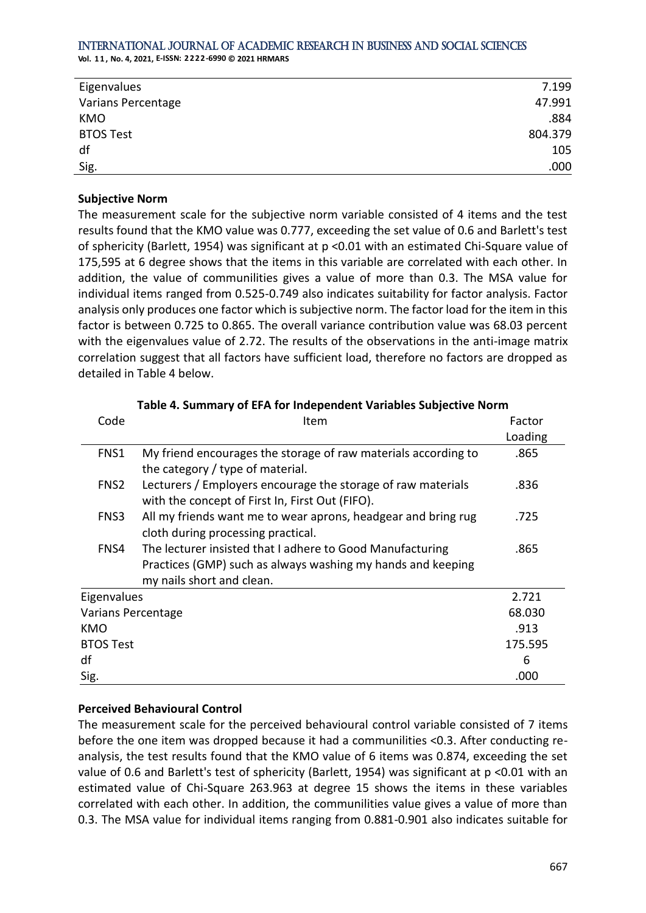**Vol. 1 1 , No. 4, 2021, E-ISSN: 2222-6990 © 2021 HRMARS**

| Eigenvalues               | 7.199   |
|---------------------------|---------|
| <b>Varians Percentage</b> | 47.991  |
| <b>KMO</b>                | .884    |
| <b>BTOS Test</b>          | 804.379 |
| df                        | 105     |
| Sig.                      | .000    |

#### **Subjective Norm**

The measurement scale for the subjective norm variable consisted of 4 items and the test results found that the KMO value was 0.777, exceeding the set value of 0.6 and Barlett's test of sphericity (Barlett, 1954) was significant at p <0.01 with an estimated Chi-Square value of 175,595 at 6 degree shows that the items in this variable are correlated with each other. In addition, the value of communilities gives a value of more than 0.3. The MSA value for individual items ranged from 0.525-0.749 also indicates suitability for factor analysis. Factor analysis only produces one factor which is subjective norm. The factor load for the item in this factor is between 0.725 to 0.865. The overall variance contribution value was 68.03 percent with the eigenvalues value of 2.72. The results of the observations in the anti-image matrix correlation suggest that all factors have sufficient load, therefore no factors are dropped as detailed in Table 4 below.

| Code               | Item                                                                                                            | Factor  |
|--------------------|-----------------------------------------------------------------------------------------------------------------|---------|
|                    |                                                                                                                 | Loading |
| FNS1               | My friend encourages the storage of raw materials according to<br>the category / type of material.              | .865    |
| FNS <sub>2</sub>   | Lecturers / Employers encourage the storage of raw materials<br>with the concept of First In, First Out (FIFO). | .836    |
| FNS3               | All my friends want me to wear aprons, headgear and bring rug<br>cloth during processing practical.             | .725    |
| FNS4               | The lecturer insisted that I adhere to Good Manufacturing                                                       | .865    |
|                    | Practices (GMP) such as always washing my hands and keeping                                                     |         |
|                    | my nails short and clean.                                                                                       |         |
| Eigenvalues        |                                                                                                                 | 2.721   |
| Varians Percentage |                                                                                                                 | 68.030  |
| KMO                |                                                                                                                 | .913    |
| <b>BTOS Test</b>   |                                                                                                                 | 175.595 |
| df                 |                                                                                                                 | 6       |
| Sig.               |                                                                                                                 | .000    |

#### **Table 4. Summary of EFA for Independent Variables Subjective Norm**

#### **Perceived Behavioural Control**

The measurement scale for the perceived behavioural control variable consisted of 7 items before the one item was dropped because it had a communilities <0.3. After conducting reanalysis, the test results found that the KMO value of 6 items was 0.874, exceeding the set value of 0.6 and Barlett's test of sphericity (Barlett, 1954) was significant at p <0.01 with an estimated value of Chi-Square 263.963 at degree 15 shows the items in these variables correlated with each other. In addition, the communilities value gives a value of more than 0.3. The MSA value for individual items ranging from 0.881-0.901 also indicates suitable for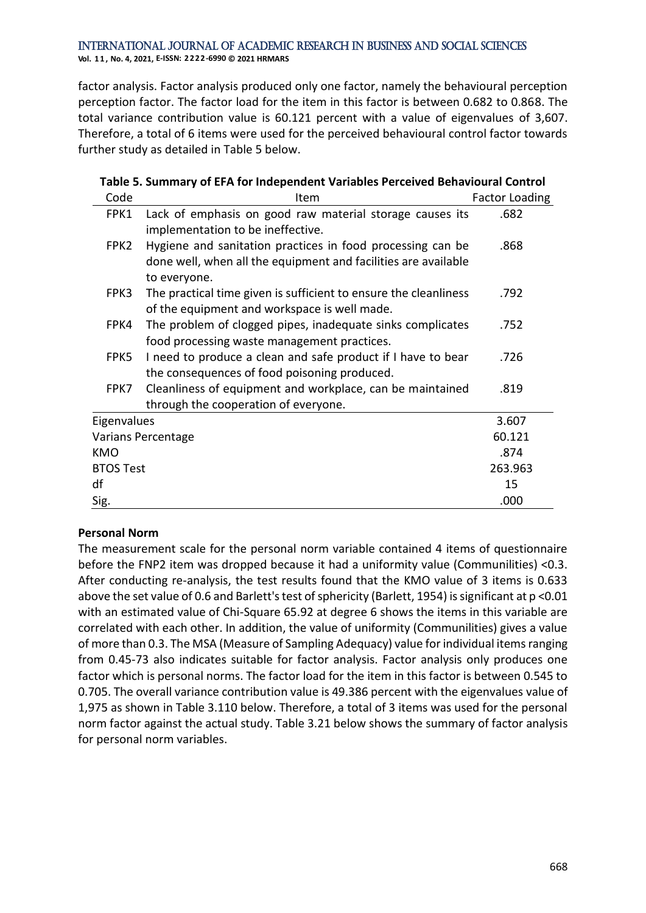factor analysis. Factor analysis produced only one factor, namely the behavioural perception perception factor. The factor load for the item in this factor is between 0.682 to 0.868. The total variance contribution value is 60.121 percent with a value of eigenvalues of 3,607. Therefore, a total of 6 items were used for the perceived behavioural control factor towards further study as detailed in Table 5 below.

| Table 5. Summary of EFA for Independent Variables Perceived Behavioural Control |                                                                  |                |
|---------------------------------------------------------------------------------|------------------------------------------------------------------|----------------|
| Code                                                                            | Item                                                             | Factor Loading |
| FPK1                                                                            | Lack of emphasis on good raw material storage causes its         | .682           |
|                                                                                 | implementation to be ineffective.                                |                |
| FPK2                                                                            | Hygiene and sanitation practices in food processing can be       | .868           |
|                                                                                 | done well, when all the equipment and facilities are available   |                |
|                                                                                 | to everyone.                                                     |                |
| FPK3                                                                            | The practical time given is sufficient to ensure the cleanliness | .792           |
|                                                                                 | of the equipment and workspace is well made.                     |                |
| FPK4                                                                            | The problem of clogged pipes, inadequate sinks complicates       | .752           |
|                                                                                 | food processing waste management practices.                      |                |
| FPK5                                                                            | I need to produce a clean and safe product if I have to bear     | .726           |
|                                                                                 | the consequences of food poisoning produced.                     |                |
| FPK7                                                                            | Cleanliness of equipment and workplace, can be maintained        | .819           |
|                                                                                 | through the cooperation of everyone.                             |                |
| Eigenvalues                                                                     |                                                                  | 3.607          |
|                                                                                 | Varians Percentage                                               | 60.121         |
| KMO                                                                             |                                                                  | .874           |
| <b>BTOS Test</b>                                                                |                                                                  | 263.963        |
| df                                                                              |                                                                  | 15             |
| Sig.                                                                            |                                                                  | .000           |

#### **Personal Norm**

The measurement scale for the personal norm variable contained 4 items of questionnaire before the FNP2 item was dropped because it had a uniformity value (Communilities) <0.3. After conducting re-analysis, the test results found that the KMO value of 3 items is 0.633 above the set value of 0.6 and Barlett's test of sphericity (Barlett, 1954) is significant at p <0.01 with an estimated value of Chi-Square 65.92 at degree 6 shows the items in this variable are correlated with each other. In addition, the value of uniformity (Communilities) gives a value of more than 0.3. The MSA (Measure of Sampling Adequacy) value for individual items ranging from 0.45-73 also indicates suitable for factor analysis. Factor analysis only produces one factor which is personal norms. The factor load for the item in this factor is between 0.545 to 0.705. The overall variance contribution value is 49.386 percent with the eigenvalues value of 1,975 as shown in Table 3.110 below. Therefore, a total of 3 items was used for the personal norm factor against the actual study. Table 3.21 below shows the summary of factor analysis for personal norm variables.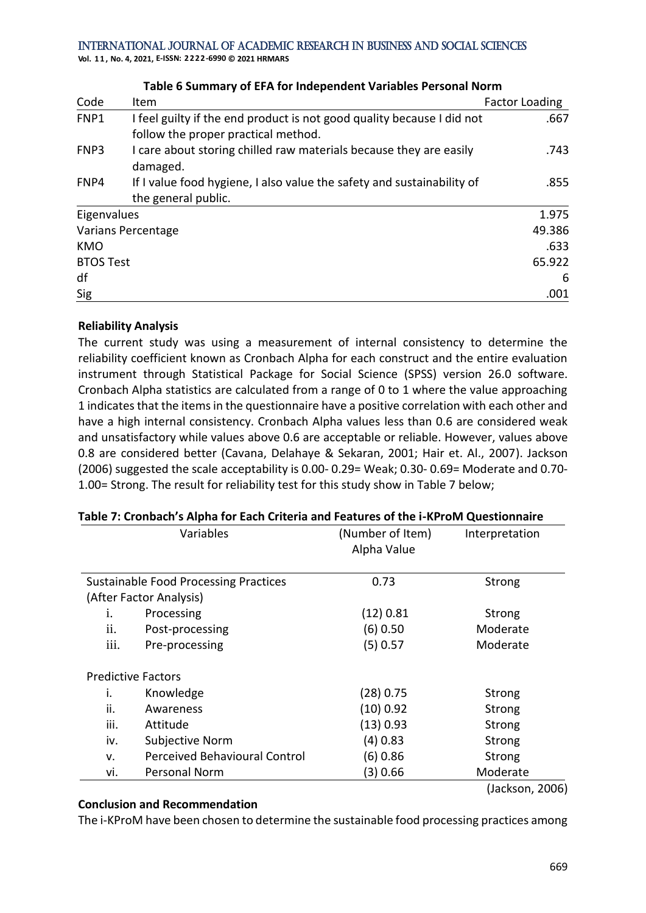**Vol. 1 1 , No. 4, 2021, E-ISSN: 2222-6990 © 2021 HRMARS**

|                  | <u>Fable o Summary of ELATOR INGENERIUS III variables Fersonal Norm</u>                                       |                       |
|------------------|---------------------------------------------------------------------------------------------------------------|-----------------------|
| Code             | Item                                                                                                          | <b>Factor Loading</b> |
| FNP1             | I feel guilty if the end product is not good quality because I did not<br>follow the proper practical method. | .667                  |
| FNP3             | I care about storing chilled raw materials because they are easily<br>damaged.                                | .743                  |
| FNP4             | If I value food hygiene, I also value the safety and sustainability of<br>the general public.                 | .855                  |
| Eigenvalues      |                                                                                                               | 1.975                 |
|                  | <b>Varians Percentage</b>                                                                                     | 49.386                |
| <b>KMO</b>       |                                                                                                               | .633                  |
| <b>BTOS Test</b> |                                                                                                               | 65.922                |
| df               |                                                                                                               | 6                     |
| Sig              |                                                                                                               | .001                  |
|                  |                                                                                                               |                       |

#### **Table 6 Summary of EFA for Independent Variables Personal Norm**

#### **Reliability Analysis**

The current study was using a measurement of internal consistency to determine the reliability coefficient known as Cronbach Alpha for each construct and the entire evaluation instrument through Statistical Package for Social Science (SPSS) version 26.0 software. Cronbach Alpha statistics are calculated from a range of 0 to 1 where the value approaching 1 indicates that the items in the questionnaire have a positive correlation with each other and have a high internal consistency. Cronbach Alpha values less than 0.6 are considered weak and unsatisfactory while values above 0.6 are acceptable or reliable. However, values above 0.8 are considered better (Cavana, Delahaye & Sekaran, 2001; Hair et. Al., 2007). Jackson (2006) suggested the scale acceptability is 0.00- 0.29= Weak; 0.30- 0.69= Moderate and 0.70- 1.00= Strong. The result for reliability test for this study show in Table 7 below;

|                  | Variables                                    | (Number of Item)<br>Alpha Value | Interpretation  |
|------------------|----------------------------------------------|---------------------------------|-----------------|
|                  | <b>Sustainable Food Processing Practices</b> | 0.73                            | Strong          |
|                  | (After Factor Analysis)                      |                                 |                 |
| i.               | Processing                                   | (12) 0.81                       | Strong          |
| ii.              | Post-processing                              | $(6)$ 0.50                      | Moderate        |
| $\cdots$<br>111. | Pre-processing                               | $(5)$ 0.57                      | Moderate        |
|                  | <b>Predictive Factors</b>                    |                                 |                 |
| i.               | Knowledge                                    | (28) 0.75                       | Strong          |
| ii.              | Awareness                                    | (10) 0.92                       | Strong          |
| iii.             | Attitude                                     | (13) 0.93                       | Strong          |
| iv.              | Subjective Norm                              | $(4)$ 0.83                      | Strong          |
| v.               | <b>Perceived Behavioural Control</b>         | (6) 0.86                        | Strong          |
| vi.              | Personal Norm                                | (3) 0.66                        | Moderate        |
|                  |                                              |                                 | (Jackson, 2006) |

### **Table 7: Cronbach's Alpha for Each Criteria and Features of the i-KProM Questionnaire**

### **Conclusion and Recommendation**

The i-KProM have been chosen to determine the sustainable food processing practices among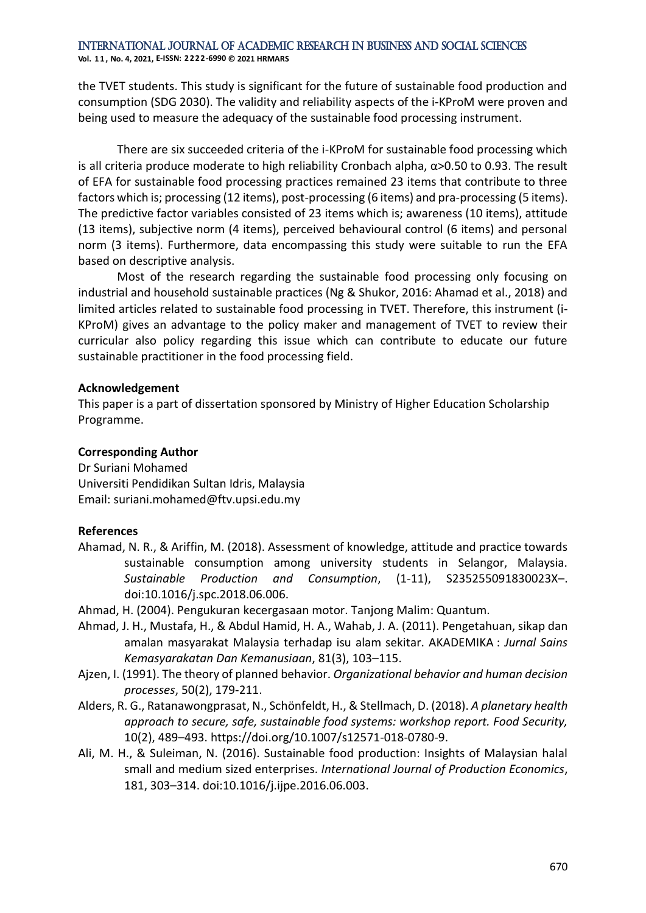**Vol. 1 1 , No. 4, 2021, E-ISSN: 2222-6990 © 2021 HRMARS**

the TVET students. This study is significant for the future of sustainable food production and consumption (SDG 2030). The validity and reliability aspects of the i-KProM were proven and being used to measure the adequacy of the sustainable food processing instrument.

There are six succeeded criteria of the i-KProM for sustainable food processing which is all criteria produce moderate to high reliability Cronbach alpha,  $α>0.50$  to 0.93. The result of EFA for sustainable food processing practices remained 23 items that contribute to three factors which is; processing (12 items), post-processing (6 items) and pra-processing (5 items). The predictive factor variables consisted of 23 items which is; awareness (10 items), attitude (13 items), subjective norm (4 items), perceived behavioural control (6 items) and personal norm (3 items). Furthermore, data encompassing this study were suitable to run the EFA based on descriptive analysis.

Most of the research regarding the sustainable food processing only focusing on industrial and household sustainable practices (Ng & Shukor, 2016: Ahamad et al., 2018) and limited articles related to sustainable food processing in TVET. Therefore, this instrument (i-KProM) gives an advantage to the policy maker and management of TVET to review their curricular also policy regarding this issue which can contribute to educate our future sustainable practitioner in the food processing field.

#### **Acknowledgement**

This paper is a part of dissertation sponsored by Ministry of Higher Education Scholarship Programme.

#### **Corresponding Author**

Dr Suriani Mohamed Universiti Pendidikan Sultan Idris, Malaysia Email: suriani.mohamed@ftv.upsi.edu.my

#### **References**

- Ahamad, N. R., & Ariffin, M. (2018). Assessment of knowledge, attitude and practice towards sustainable consumption among university students in Selangor, Malaysia. *Sustainable Production and Consumption*, (1-11), S235255091830023X–. doi:10.1016/j.spc.2018.06.006.
- Ahmad, H. (2004). Pengukuran kecergasaan motor. Tanjong Malim: Quantum.
- Ahmad, J. H., Mustafa, H., & Abdul Hamid, H. A., Wahab, J. A. (2011). Pengetahuan, sikap dan amalan masyarakat Malaysia terhadap isu alam sekitar. AKADEMIKA : *Jurnal Sains Kemasyarakatan Dan Kemanusiaan*, 81(3), 103–115.
- Ajzen, I. (1991). The theory of planned behavior. *Organizational behavior and human decision processes*, 50(2), 179-211.
- Alders, R. G., Ratanawongprasat, N., Schönfeldt, H., & Stellmach, D. (2018). *A planetary health approach to secure, safe, sustainable food systems: workshop report. Food Security,* 10(2), 489–493. https://doi.org/10.1007/s12571-018-0780-9.
- Ali, M. H., & Suleiman, N. (2016). Sustainable food production: Insights of Malaysian halal small and medium sized enterprises. *International Journal of Production Economics*, 181, 303–314. doi:10.1016/j.ijpe.2016.06.003.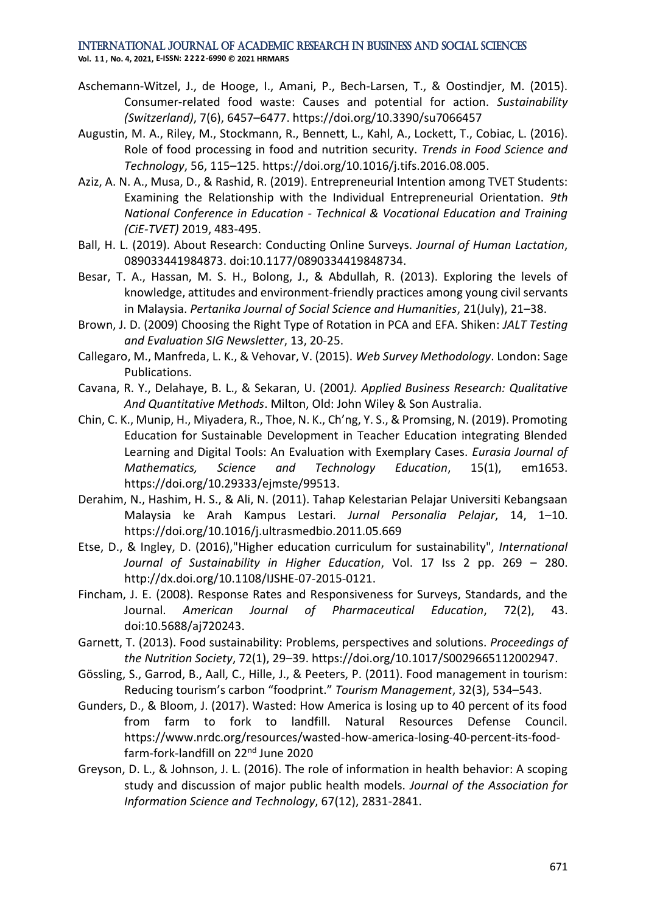**Vol. 1 1 , No. 4, 2021, E-ISSN: 2222-6990 © 2021 HRMARS**

- Aschemann-Witzel, J., de Hooge, I., Amani, P., Bech-Larsen, T., & Oostindjer, M. (2015). Consumer-related food waste: Causes and potential for action. *Sustainability (Switzerland)*, 7(6), 6457–6477. https://doi.org/10.3390/su7066457
- Augustin, M. A., Riley, M., Stockmann, R., Bennett, L., Kahl, A., Lockett, T., Cobiac, L. (2016). Role of food processing in food and nutrition security. *Trends in Food Science and Technology*, 56, 115–125. https://doi.org/10.1016/j.tifs.2016.08.005.
- Aziz, A. N. A., Musa, D., & Rashid, R. (2019). Entrepreneurial Intention among TVET Students: Examining the Relationship with the Individual Entrepreneurial Orientation. *9th National Conference in Education - Technical & Vocational Education and Training (CiE-TVET)* 2019, 483-495.
- Ball, H. L. (2019). About Research: Conducting Online Surveys. *Journal of Human Lactation*, 089033441984873. doi:10.1177/0890334419848734.
- Besar, T. A., Hassan, M. S. H., Bolong, J., & Abdullah, R. (2013). Exploring the levels of knowledge, attitudes and environment-friendly practices among young civil servants in Malaysia. *Pertanika Journal of Social Science and Humanities*, 21(July), 21–38.
- Brown, J. D. (2009) Choosing the Right Type of Rotation in PCA and EFA. Shiken: *JALT Testing and Evaluation SIG Newsletter*, 13, 20-25.
- Callegaro, M., Manfreda, L. K., & Vehovar, V. (2015). *Web Survey Methodology*. London: Sage Publications.
- Cavana, R. Y., Delahaye, B. L., & Sekaran, U. (2001*). Applied Business Research: Qualitative And Quantitative Methods*. Milton, Old: John Wiley & Son Australia.
- Chin, C. K., Munip, H., Miyadera, R., Thoe, N. K., Ch'ng, Y. S., & Promsing, N. (2019). Promoting Education for Sustainable Development in Teacher Education integrating Blended Learning and Digital Tools: An Evaluation with Exemplary Cases. *Eurasia Journal of Mathematics, Science and Technology Education*, 15(1), em1653. https://doi.org/10.29333/ejmste/99513.
- Derahim, N., Hashim, H. S., & Ali, N. (2011). Tahap Kelestarian Pelajar Universiti Kebangsaan Malaysia ke Arah Kampus Lestari. *Jurnal Personalia Pelajar*, 14, 1–10. https://doi.org/10.1016/j.ultrasmedbio.2011.05.669
- Etse, D., & Ingley, D. (2016),"Higher education curriculum for sustainability", *International Journal of Sustainability in Higher Education*, Vol. 17 Iss 2 pp. 269 – 280. http://dx.doi.org/10.1108/IJSHE-07-2015-0121.
- Fincham, J. E. (2008). Response Rates and Responsiveness for Surveys, Standards, and the Journal. *American Journal of Pharmaceutical Education*, 72(2), 43. doi:10.5688/aj720243.
- Garnett, T. (2013). Food sustainability: Problems, perspectives and solutions. *Proceedings of the Nutrition Society*, 72(1), 29–39. https://doi.org/10.1017/S0029665112002947.
- Gössling, S., Garrod, B., Aall, C., Hille, J., & Peeters, P. (2011). Food management in tourism: Reducing tourism's carbon "foodprint." *Tourism Management*, 32(3), 534–543.
- Gunders, D., & Bloom, J. (2017). Wasted: How America is losing up to 40 percent of its food from farm to fork to landfill. Natural Resources Defense Council. https://www.nrdc.org/resources/wasted-how-america-losing-40-percent-its-foodfarm-fork-landfill on 22nd June 2020
- Greyson, D. L., & Johnson, J. L. (2016). The role of information in health behavior: A scoping study and discussion of major public health models. *Journal of the Association for Information Science and Technology*, 67(12), 2831-2841.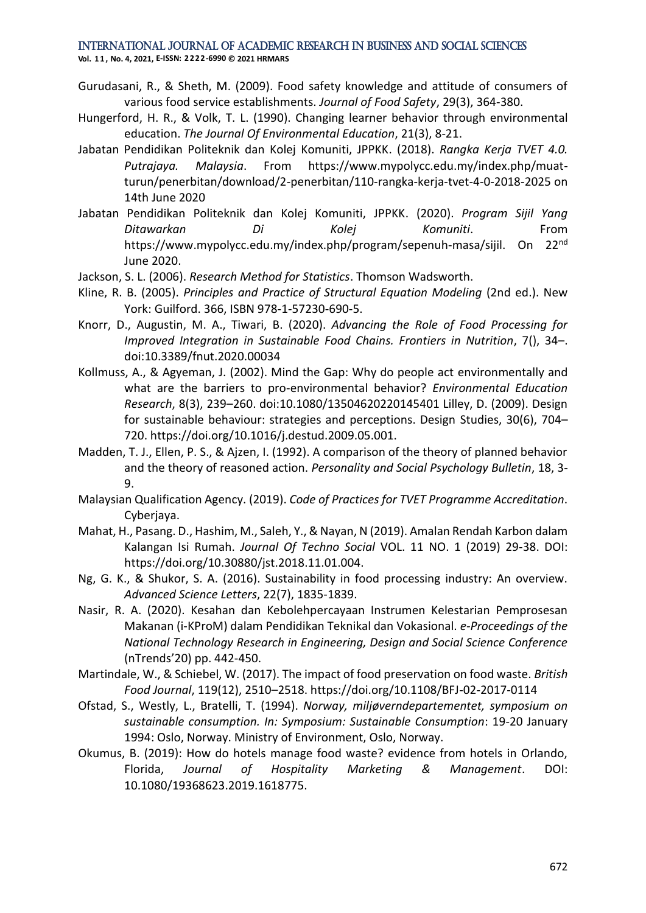**Vol. 1 1 , No. 4, 2021, E-ISSN: 2222-6990 © 2021 HRMARS**

- Gurudasani, R., & Sheth, M. (2009). Food safety knowledge and attitude of consumers of various food service establishments. *Journal of Food Safety*, 29(3), 364-380.
- Hungerford, H. R., & Volk, T. L. (1990). Changing learner behavior through environmental education. *The Journal Of Environmental Education*, 21(3), 8-21.
- Jabatan Pendidikan Politeknik dan Kolej Komuniti, JPPKK. (2018). *Rangka Kerja TVET 4.0. Putrajaya. Malaysia*. From https://www.mypolycc.edu.my/index.php/muatturun/penerbitan/download/2-penerbitan/110-rangka-kerja-tvet-4-0-2018-2025 on 14th June 2020
- Jabatan Pendidikan Politeknik dan Kolej Komuniti, JPPKK. (2020). *Program Sijil Yang Ditawarkan Di Kolej Komuniti*. From https://www.mypolycc.edu.my/index.php/program/sepenuh-masa/sijil. On 22nd June 2020.
- Jackson, S. L. (2006). *Research Method for Statistics*. Thomson Wadsworth.
- Kline, R. B. (2005). *Principles and Practice of Structural Equation Modeling* (2nd ed.). New York: Guilford. 366, ISBN 978-1-57230-690-5.
- Knorr, D., Augustin, M. A., Tiwari, B. (2020). *Advancing the Role of Food Processing for Improved Integration in Sustainable Food Chains. Frontiers in Nutrition*, 7(), 34–. doi:10.3389/fnut.2020.00034
- Kollmuss, A., & Agyeman, J. (2002). Mind the Gap: Why do people act environmentally and what are the barriers to pro-environmental behavior? *Environmental Education Research*, 8(3), 239–260. doi:10.1080/13504620220145401 Lilley, D. (2009). Design for sustainable behaviour: strategies and perceptions. Design Studies, 30(6), 704– 720. https://doi.org/10.1016/j.destud.2009.05.001.
- Madden, T. J., Ellen, P. S., & Ajzen, I. (1992). A comparison of the theory of planned behavior and the theory of reasoned action. *Personality and Social Psychology Bulletin*, 18, 3- 9.
- Malaysian Qualification Agency. (2019). *Code of Practices for TVET Programme Accreditation*. Cyberjaya.
- Mahat, H., Pasang. D., Hashim, M., Saleh, Y., & Nayan, N (2019). Amalan Rendah Karbon dalam Kalangan Isi Rumah. *Journal Of Techno Social* VOL. 11 NO. 1 (2019) 29-38. DOI: https://doi.org/10.30880/jst.2018.11.01.004.
- Ng, G. K., & Shukor, S. A. (2016). Sustainability in food processing industry: An overview. *Advanced Science Letters*, 22(7), 1835-1839.
- Nasir, R. A. (2020). Kesahan dan Kebolehpercayaan Instrumen Kelestarian Pemprosesan Makanan (i-KProM) dalam Pendidikan Teknikal dan Vokasional. *e-Proceedings of the National Technology Research in Engineering, Design and Social Science Conference* (nTrends'20) pp. 442-450.
- Martindale, W., & Schiebel, W. (2017). The impact of food preservation on food waste. *British Food Journal*, 119(12), 2510–2518. https://doi.org/10.1108/BFJ-02-2017-0114
- Ofstad, S., Westly, L., Bratelli, T. (1994). *Norway, miljøverndepartementet, symposium on sustainable consumption. In: Symposium: Sustainable Consumption*: 19-20 January 1994: Oslo, Norway. Ministry of Environment, Oslo, Norway.
- Okumus, B. (2019): How do hotels manage food waste? evidence from hotels in Orlando, Florida, *Journal of Hospitality Marketing & Management*. DOI: 10.1080/19368623.2019.1618775.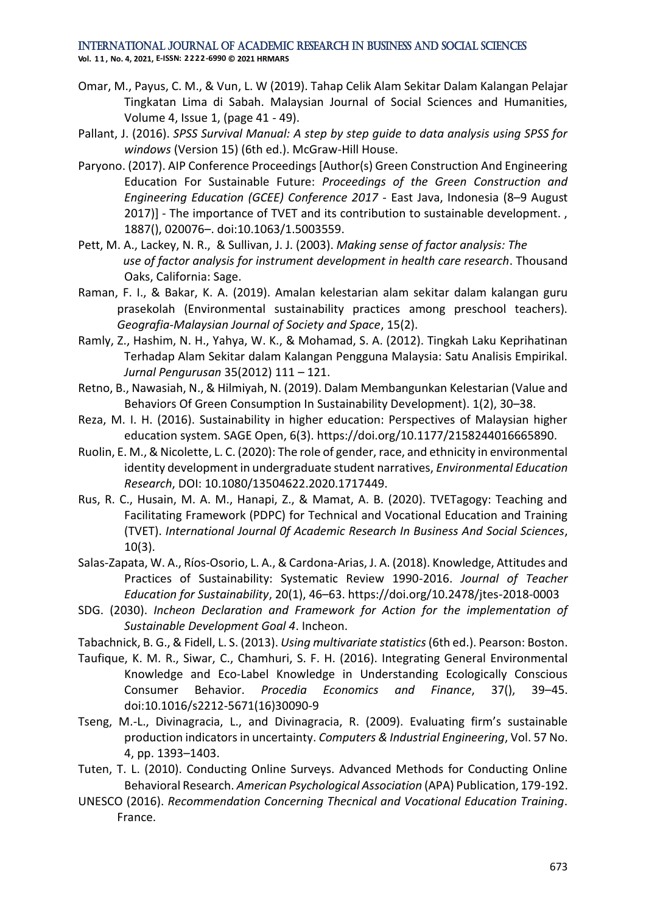**Vol. 1 1 , No. 4, 2021, E-ISSN: 2222-6990 © 2021 HRMARS**

- Omar, M., Payus, C. M., & Vun, L. W (2019). Tahap Celik Alam Sekitar Dalam Kalangan Pelajar Tingkatan Lima di Sabah. Malaysian Journal of Social Sciences and Humanities, Volume 4, Issue 1, (page 41 - 49).
- Pallant, J. (2016). *SPSS Survival Manual: A step by step guide to data analysis using SPSS for windows* (Version 15) (6th ed.). McGraw-Hill House.
- Paryono. (2017). AIP Conference Proceedings [Author(s) Green Construction And Engineering Education For Sustainable Future: *Proceedings of the Green Construction and Engineering Education (GCEE) Conference 2017* - East Java, Indonesia (8–9 August 2017)] - The importance of TVET and its contribution to sustainable development. , 1887(), 020076–. doi:10.1063/1.5003559.
- Pett, M. A., Lackey, N. R., & Sullivan, J. J. (2003). *Making sense of factor analysis: The use of factor analysis for instrument development in health care research*. Thousand Oaks, California: Sage.
- Raman, F. I., & Bakar, K. A. (2019). Amalan kelestarian alam sekitar dalam kalangan guru prasekolah (Environmental sustainability practices among preschool teachers). *Geografia-Malaysian Journal of Society and Space*, 15(2).
- Ramly, Z., Hashim, N. H., Yahya, W. K., & Mohamad, S. A. (2012). Tingkah Laku Keprihatinan Terhadap Alam Sekitar dalam Kalangan Pengguna Malaysia: Satu Analisis Empirikal. *Jurnal Pengurusan* 35(2012) 111 – 121.
- Retno, B., Nawasiah, N., & Hilmiyah, N. (2019). Dalam Membangunkan Kelestarian (Value and Behaviors Of Green Consumption In Sustainability Development). 1(2), 30–38.
- Reza, M. I. H. (2016). Sustainability in higher education: Perspectives of Malaysian higher education system. SAGE Open, 6(3). https://doi.org/10.1177/2158244016665890.
- Ruolin, E. M.,& Nicolette, L. C. (2020): The role of gender, race, and ethnicity in environmental identity development in undergraduate student narratives, *Environmental Education Research*, DOI: 10.1080/13504622.2020.1717449.
- Rus, R. C., Husain, M. A. M., Hanapi, Z., & Mamat, A. B. (2020). TVETagogy: Teaching and Facilitating Framework (PDPC) for Technical and Vocational Education and Training (TVET). *International Journal 0f Academic Research In Business And Social Sciences*, 10(3).
- Salas-Zapata, W. A., Ríos-Osorio, L. A., & Cardona-Arias, J. A. (2018). Knowledge, Attitudes and Practices of Sustainability: Systematic Review 1990-2016. *Journal of Teacher Education for Sustainability*, 20(1), 46–63. https://doi.org/10.2478/jtes-2018-0003
- SDG. (2030). *Incheon Declaration and Framework for Action for the implementation of Sustainable Development Goal 4*. Incheon.
- Tabachnick, B. G., & Fidell, L. S. (2013). *Using multivariate statistics*(6th ed.). Pearson: Boston.
- Taufique, K. M. R., Siwar, C., Chamhuri, S. F. H. (2016). Integrating General Environmental Knowledge and Eco-Label Knowledge in Understanding Ecologically Conscious Consumer Behavior. *Procedia Economics and Finance*, 37(), 39–45. doi:10.1016/s2212-5671(16)30090-9
- Tseng, M.-L., Divinagracia, L., and Divinagracia, R. (2009). Evaluating firm's sustainable production indicators in uncertainty. *Computers & Industrial Engineering*, Vol. 57 No. 4, pp. 1393–1403.
- Tuten, T. L. (2010). Conducting Online Surveys. Advanced Methods for Conducting Online Behavioral Research. *American Psychological Association* (APA) Publication, 179-192.
- UNESCO (2016). *Recommendation Concerning Thecnical and Vocational Education Training*. France.